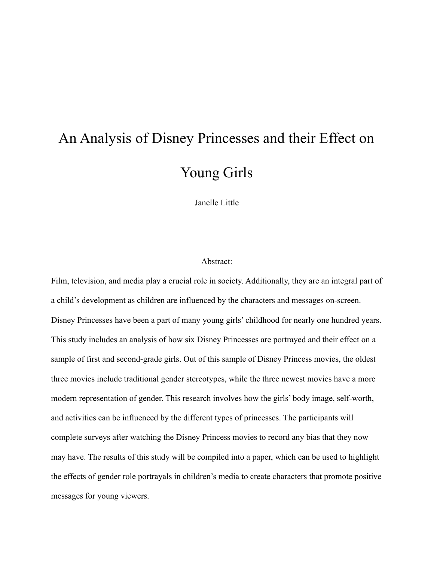# An Analysis of Disney Princesses and their Effect on Young Girls

Janelle Little

# Abstract:

Film, television, and media play a crucial role in society. Additionally, they are an integral part of a child's development as children are influenced by the characters and messages on-screen. Disney Princesses have been a part of many young girls' childhood for nearly one hundred years. This study includes an analysis of how six Disney Princesses are portrayed and their effect on a sample of first and second-grade girls. Out of this sample of Disney Princess movies, the oldest three movies include traditional gender stereotypes, while the three newest movies have a more modern representation of gender. This research involves how the girls' body image, self-worth, and activities can be influenced by the different types of princesses. The participants will complete surveys after watching the Disney Princess movies to record any bias that they now may have. The results of this study will be compiled into a paper, which can be used to highlight the effects of gender role portrayals in children's media to create characters that promote positive messages for young viewers.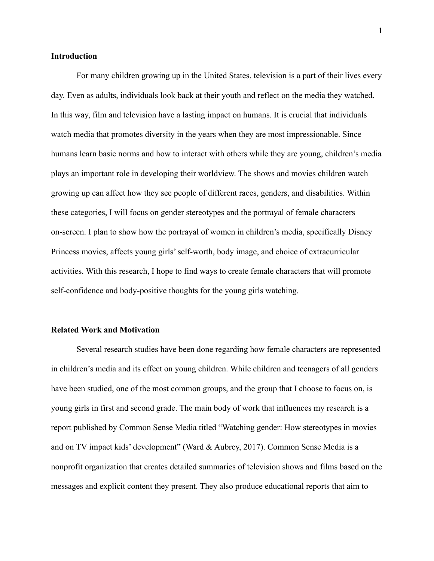### **Introduction**

For many children growing up in the United States, television is a part of their lives every day. Even as adults, individuals look back at their youth and reflect on the media they watched. In this way, film and television have a lasting impact on humans. It is crucial that individuals watch media that promotes diversity in the years when they are most impressionable. Since humans learn basic norms and how to interact with others while they are young, children's media plays an important role in developing their worldview. The shows and movies children watch growing up can affect how they see people of different races, genders, and disabilities. Within these categories, I will focus on gender stereotypes and the portrayal of female characters on-screen. I plan to show how the portrayal of women in children's media, specifically Disney Princess movies, affects young girls' self-worth, body image, and choice of extracurricular activities. With this research, I hope to find ways to create female characters that will promote self-confidence and body-positive thoughts for the young girls watching.

#### **Related Work and Motivation**

Several research studies have been done regarding how female characters are represented in children's media and its effect on young children. While children and teenagers of all genders have been studied, one of the most common groups, and the group that I choose to focus on, is young girls in first and second grade. The main body of work that influences my research is a report published by Common Sense Media titled "Watching gender: How stereotypes in movies and on TV impact kids' development" (Ward & Aubrey, 2017). Common Sense Media is a nonprofit organization that creates detailed summaries of television shows and films based on the messages and explicit content they present. They also produce educational reports that aim to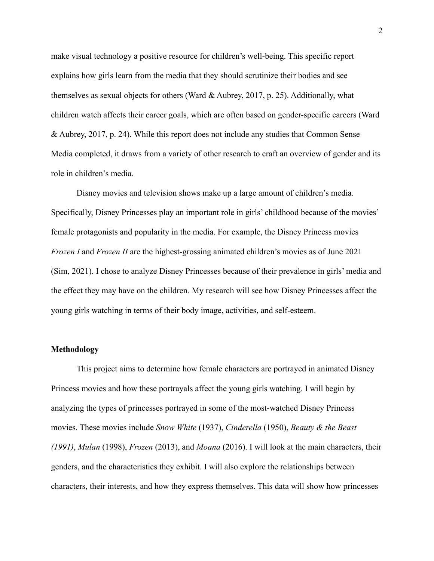make visual technology a positive resource for children's well-being. This specific report explains how girls learn from the media that they should scrutinize their bodies and see themselves as sexual objects for others (Ward & Aubrey, 2017, p. 25). Additionally, what children watch affects their career goals, which are often based on gender-specific careers (Ward & Aubrey, 2017, p. 24). While this report does not include any studies that Common Sense Media completed, it draws from a variety of other research to craft an overview of gender and its role in children's media.

Disney movies and television shows make up a large amount of children's media. Specifically, Disney Princesses play an important role in girls' childhood because of the movies' female protagonists and popularity in the media. For example, the Disney Princess movies *Frozen I* and *Frozen II* are the highest-grossing animated children's movies as of June 2021 (Sim, 2021). I chose to analyze Disney Princesses because of their prevalence in girls' media and the effect they may have on the children. My research will see how Disney Princesses affect the young girls watching in terms of their body image, activities, and self-esteem.

# **Methodology**

This project aims to determine how female characters are portrayed in animated Disney Princess movies and how these portrayals affect the young girls watching. I will begin by analyzing the types of princesses portrayed in some of the most-watched Disney Princess movies. These movies include *Snow White* (1937), *Cinderella* (1950), *Beauty & the Beast (1991)*, *Mulan* (1998), *Frozen* (2013), and *Moana* (2016). I will look at the main characters, their genders, and the characteristics they exhibit. I will also explore the relationships between characters, their interests, and how they express themselves. This data will show how princesses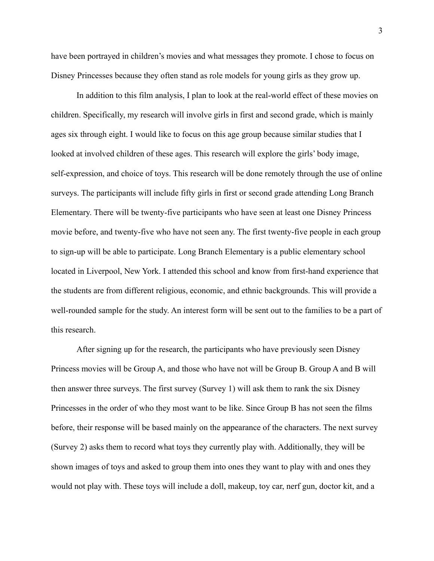have been portrayed in children's movies and what messages they promote. I chose to focus on Disney Princesses because they often stand as role models for young girls as they grow up.

In addition to this film analysis, I plan to look at the real-world effect of these movies on children. Specifically, my research will involve girls in first and second grade, which is mainly ages six through eight. I would like to focus on this age group because similar studies that I looked at involved children of these ages. This research will explore the girls' body image, self-expression, and choice of toys. This research will be done remotely through the use of online surveys. The participants will include fifty girls in first or second grade attending Long Branch Elementary. There will be twenty-five participants who have seen at least one Disney Princess movie before, and twenty-five who have not seen any. The first twenty-five people in each group to sign-up will be able to participate. Long Branch Elementary is a public elementary school located in Liverpool, New York. I attended this school and know from first-hand experience that the students are from different religious, economic, and ethnic backgrounds. This will provide a well-rounded sample for the study. An interest form will be sent out to the families to be a part of this research.

After signing up for the research, the participants who have previously seen Disney Princess movies will be Group A, and those who have not will be Group B. Group A and B will then answer three surveys. The first survey (Survey 1) will ask them to rank the six Disney Princesses in the order of who they most want to be like. Since Group B has not seen the films before, their response will be based mainly on the appearance of the characters. The next survey (Survey 2) asks them to record what toys they currently play with. Additionally, they will be shown images of toys and asked to group them into ones they want to play with and ones they would not play with. These toys will include a doll, makeup, toy car, nerf gun, doctor kit, and a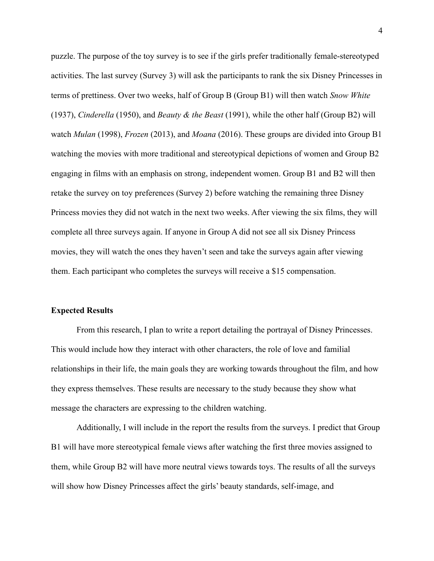puzzle. The purpose of the toy survey is to see if the girls prefer traditionally female-stereotyped activities. The last survey (Survey 3) will ask the participants to rank the six Disney Princesses in terms of prettiness. Over two weeks, half of Group B (Group B1) will then watch *Snow White* (1937), *Cinderella* (1950), and *Beauty & the Beast* (1991), while the other half (Group B2) will watch *Mulan* (1998), *Frozen* (2013), and *Moana* (2016). These groups are divided into Group B1 watching the movies with more traditional and stereotypical depictions of women and Group B2 engaging in films with an emphasis on strong, independent women. Group B1 and B2 will then retake the survey on toy preferences (Survey 2) before watching the remaining three Disney Princess movies they did not watch in the next two weeks. After viewing the six films, they will complete all three surveys again. If anyone in Group A did not see all six Disney Princess movies, they will watch the ones they haven't seen and take the surveys again after viewing them. Each participant who completes the surveys will receive a \$15 compensation.

#### **Expected Results**

From this research, I plan to write a report detailing the portrayal of Disney Princesses. This would include how they interact with other characters, the role of love and familial relationships in their life, the main goals they are working towards throughout the film, and how they express themselves. These results are necessary to the study because they show what message the characters are expressing to the children watching.

Additionally, I will include in the report the results from the surveys. I predict that Group B1 will have more stereotypical female views after watching the first three movies assigned to them, while Group B2 will have more neutral views towards toys. The results of all the surveys will show how Disney Princesses affect the girls' beauty standards, self-image, and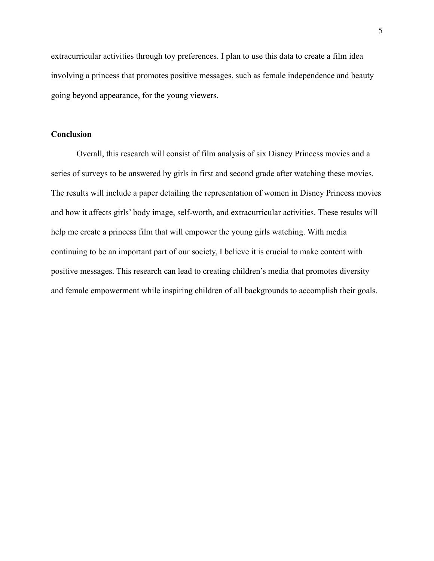extracurricular activities through toy preferences. I plan to use this data to create a film idea involving a princess that promotes positive messages, such as female independence and beauty going beyond appearance, for the young viewers.

# **Conclusion**

Overall, this research will consist of film analysis of six Disney Princess movies and a series of surveys to be answered by girls in first and second grade after watching these movies. The results will include a paper detailing the representation of women in Disney Princess movies and how it affects girls' body image, self-worth, and extracurricular activities. These results will help me create a princess film that will empower the young girls watching. With media continuing to be an important part of our society, I believe it is crucial to make content with positive messages. This research can lead to creating children's media that promotes diversity and female empowerment while inspiring children of all backgrounds to accomplish their goals.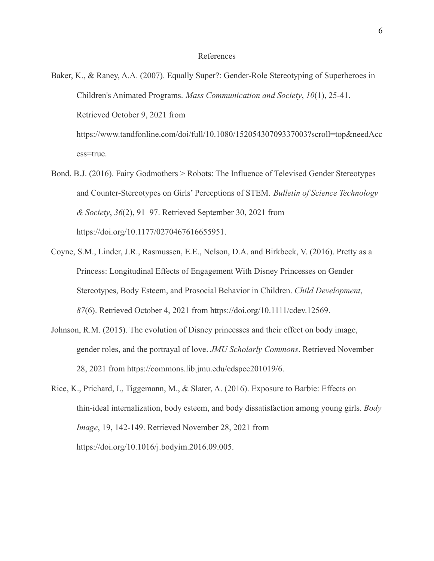#### References

Baker, K., & Raney, A.A. (2007). Equally Super?: Gender-Role Stereotyping of Superheroes in Children's Animated Programs. *Mass Communication and Society*, *10*(1), 25-41. Retrieved October 9, 2021 from [https://www.tandfonline.com/doi/full/10.1080/15205430709337003?scroll=top&needAcc](https://www.tandfonline.com/doi/full/10.1080/15205430709337003?scroll=top&needAccess=true)

[ess=true](https://www.tandfonline.com/doi/full/10.1080/15205430709337003?scroll=top&needAccess=true).

- Bond, B.J. (2016). Fairy Godmothers > Robots: The Influence of Televised Gender Stereotypes and Counter-Stereotypes on Girls' Perceptions of STEM. *Bulletin of Science Technology & Society*, *36*(2), 91–97. Retrieved September 30, 2021 from [https://doi.org/10.1177/0270467616655951.](https://doi.org/10.1177/0270467616655951)
- Coyne, S.M., Linder, J.R., Rasmussen, E.E., Nelson, D.A. and Birkbeck, V. (2016). Pretty as a Princess: Longitudinal Effects of Engagement With Disney Princesses on Gender Stereotypes, Body Esteem, and Prosocial Behavior in Children. *Child Development*, *87*(6). Retrieved October 4, 2021 from <https://doi.org/10.1111/cdev.12569>.
- Johnson, R.M. (2015). The evolution of Disney princesses and their effect on body image, gender roles, and the portrayal of love. *JMU Scholarly Commons*. Retrieved November 28, 2021 from https://commons.lib.jmu.edu/edspec201019/6.
- Rice, K., Prichard, I., Tiggemann, M., & Slater, A. (2016). Exposure to Barbie: Effects on thin-ideal internalization, body esteem, and body dissatisfaction among young girls. *Body Image*, 19, 142-149. Retrieved November 28, 2021 from https://doi.org/10.1016/j.bodyim.2016.09.005.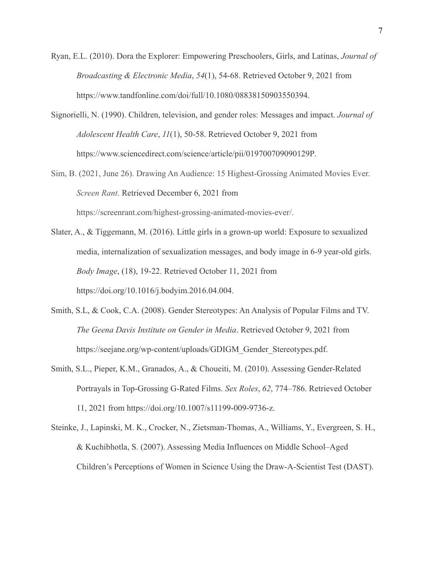- Ryan, E.L. (2010). Dora the Explorer: Empowering Preschoolers, Girls, and Latinas, *Journal of Broadcasting & Electronic Media*, *54*(1), 54-68. Retrieved October 9, 2021 from <https://www.tandfonline.com/doi/full/10.1080/08838150903550394>.
- Signorielli, N. (1990). Children, television, and gender roles: Messages and impact. *Journal of Adolescent Health Care*, *11*(1), 50-58. Retrieved October 9, 2021 from [https://www.sciencedirect.com/science/article/pii/019700709090129P.](https://www.sciencedirect.com/science/article/pii/019700709090129P)
- Sim, B. (2021, June 26). Drawing An Audience: 15 Highest-Grossing Animated Movies Ever. *Screen Rant*. Retrieved December 6, 2021 from https://screenrant.com/highest-grossing-animated-movies-ever/.
- Slater, A., & Tiggemann, M. (2016). Little girls in a grown-up world: Exposure to sexualized media, internalization of sexualization messages, and body image in 6-9 year-old girls. *Body Image*, (18), 19-22. Retrieved October 11, 2021 from <https://doi.org/10.1016/j.bodyim.2016.04.004>.
- Smith, S.L, & Cook, C.A. (2008). Gender Stereotypes: An Analysis of Popular Films and TV. *The Geena Davis Institute on Gender in Media*. Retrieved October 9, 2021 from [https://seejane.org/wp-content/uploads/GDIGM\\_Gender\\_Stereotypes.pdf.](https://seejane.org/wp-content/uploads/GDIGM_Gender_Stereotypes.pdf)
- Smith, S.L., Pieper, K.M., Granados, A., & Choueiti, M. (2010). Assessing Gender-Related Portrayals in Top-Grossing G-Rated Films. *Sex Roles*, *62*, 774–786. Retrieved October 11, 2021 from <https://doi.org/10.1007/s11199-009-9736-z>.
- Steinke, J., Lapinski, M. K., Crocker, N., Zietsman-Thomas, A., Williams, Y., Evergreen, S. H., & Kuchibhotla, S. (2007). Assessing Media Influences on Middle School–Aged Children's Perceptions of Women in Science Using the Draw-A-Scientist Test (DAST).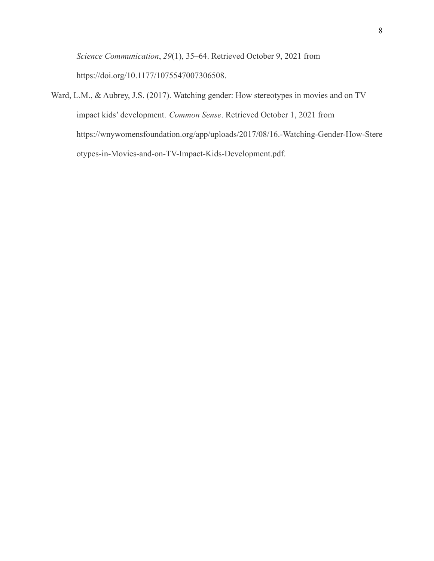*Science Communication*, *29*(1), 35–64. Retrieved October 9, 2021 from [https://doi.org/10.1177/1075547007306508.](https://doi.org/10.1177/1075547007306508)

Ward, L.M., & Aubrey, J.S. (2017). Watching gender: How stereotypes in movies and on TV impact kids' development. *Common Sense*. Retrieved October 1, 2021 from [https://wnywomensfoundation.org/app/uploads/2017/08/16.-Watching-Gender-How-Stere](https://wnywomensfoundation.org/app/uploads/2017/08/16.-Watching-Gender-How-Stereotypes-in-Movies-and-on-TV-Impact-Kids-Development.pdf) [otypes-in-Movies-and-on-TV-Impact-Kids-Development.pdf](https://wnywomensfoundation.org/app/uploads/2017/08/16.-Watching-Gender-How-Stereotypes-in-Movies-and-on-TV-Impact-Kids-Development.pdf).